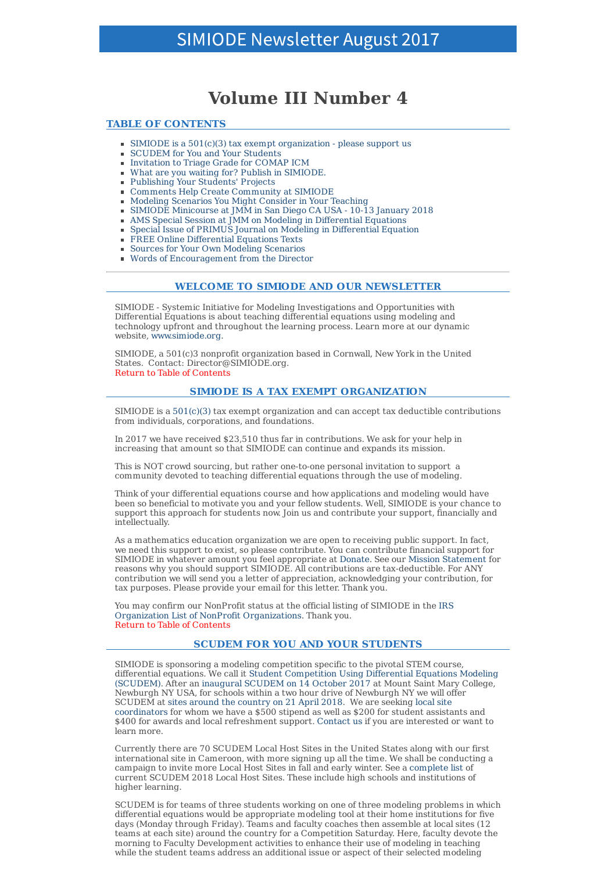# **Volume III Number 4**

## **TABLE OF CONTENTS**

- SIMIODE is a  $501(c)(3)$  tax exempt organization please support us
- SCUDEM for You and Your Students
- **Invitation to Triage Grade for COMAP ICM**
- What are you waiting for? Publish in SIMIODE.
- Publishing Your Students' Projects
- Comments Help Create Community at SIMIODE
- Modeling Scenarios You Might Consider in Your Teaching ×.
- SIMIODE Minicourse at JMM in San Diego CA USA 10-13 January 2018
- AMS Special Session at JMM on Modeling in Differential Equations Special Issue of PRIMUS Journal on Modeling in Differential Equation
- 
- FREE Online Differential Equations Texts  $\mathbf{u}$  . Sources for Your Own Modeling Scenarios
- Words of Encouragement from the Director

# **WELCOME TO SIMIODE AND OUR NEWSLETTER**

SIMIODE - Systemic Initiative for Modeling Investigations and Opportunities with Differential Equations is about teaching differential equations using modeling and technology upfront and throughout the learning process. Learn more at our dynamic website, www.simiode.org.

SIMIODE, a 501(c)3 nonprofit organization based in Cornwall, New York in the United States. Contact: Director@SIMIODE.org. Return to Table of Contents

## **SIMIODE IS A TAX EXEMPT ORGANIZATION**

SIMIODE is a  $501(c)(3)$  tax exempt organization and can accept tax deductible contributions from individuals, corporations, and foundations.

In 2017 we have received \$23,510 thus far in contributions. We ask for your help in increasing that amount so that SIMIODE can continue and expands its mission.

This is NOT crowd sourcing, but rather one-to-one personal invitation to support a community devoted to teaching differential equations through the use of modeling.

Think of your differential equations course and how applications and modeling would have been so beneficial to motivate you and your fellow students. Well, SIMIODE is your chance to support this approach for students now. Join us and contribute your support, financially and intellectually.

As a mathematics education organization we are open to receiving public support. In fact, we need this support to exist, so please contribute. You can contribute financial support for SIMIODE in whatever amount you feel appropriate at Donate. See our Mission Statement for reasons why you should support SIMIODE. All contributions are tax-deductible. For ANY contribution we will send you a letter of appreciation, acknowledging your contribution, for tax purposes. Please provide your email for this letter. Thank you.

You may confirm our NonProfit status at the official listing of SIMIODE in the IRS Organization List of NonProfit Organizations. Thank you. Return to Table of Contents

# **SCUDEM FOR YOU AND YOUR STUDENTS**

SIMIODE is sponsoring a modeling competition specific to the pivotal STEM course, differential equations. We call it Student Competition Using Differential Equations Modeling (SCUDEM). After an inaugural SCUDEM on 14 October 2017 at Mount Saint Mary College, Newburgh NY USA, for schools within a two hour drive of Newburgh NY we will offer SCUDEM at sites around the country on 21 April 2018. We are seeking local site coordinators for whom we have a \$500 stipend as well as \$200 for student assistants and \$400 for awards and local refreshment support. Contact us if you are interested or want to learn more.

Currently there are 70 SCUDEM Local Host Sites in the United States along with our first international site in Cameroon, with more signing up all the time. We shall be conducting a campaign to invite more Local Host Sites in fall and early winter. See a complete list of current SCUDEM 2018 Local Host Sites. These include high schools and institutions of higher learning.

SCUDEM is for teams of three students working on one of three modeling problems in which differential equations would be appropriate modeling tool at their home institutions for five days (Monday through Friday). Teams and faculty coaches then assemble at local sites (12 teams at each site) around the country for a Competition Saturday. Here, faculty devote the morning to Faculty Development activities to enhance their use of modeling in teaching while the student teams address an additional issue or aspect of their selected modeling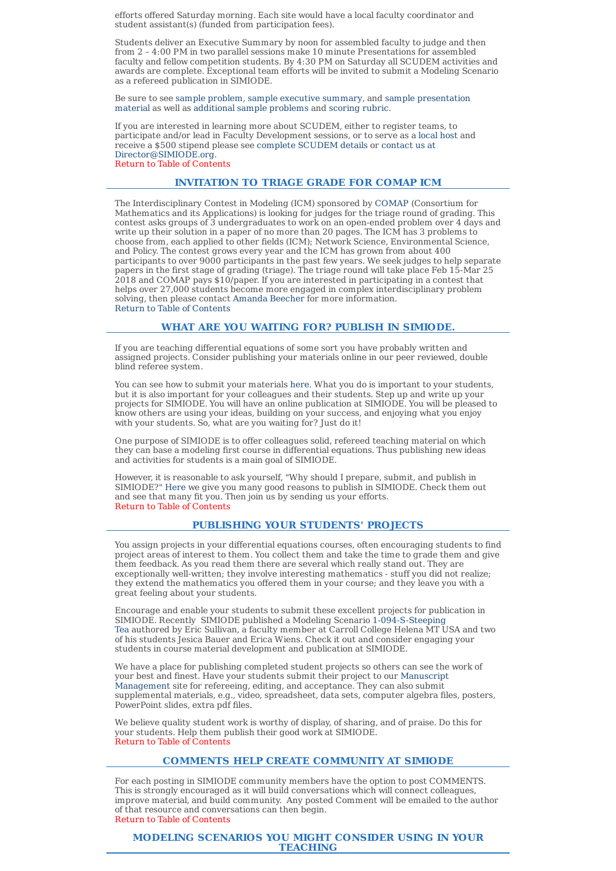efforts offered Saturday morning. Each site would have a local faculty coordinator and student assistant(s) (funded from participation fees).

Students deliver an Executive Summary by noon for assembled faculty to judge and then from 2 – 4:00 PM in two parallel sessions make 10 minute Presentations for assembled faculty and fellow competition students. By 4:30 PM on Saturday all SCUDEM activities and awards are complete. Exceptional team efforts will be invited to submit a Modeling Scenario as a refereed publication in SIMIODE.

Be sure to see sample problem, sample executive summary, and sample presentation material as well as additional sample problems and scoring rubric.

If you are interested in learning more about SCUDEM, either to register teams, to participate and/or lead in Faculty Development sessions, or to serve as a local host and receive a \$500 stipend please see complete SCUDEM details or contact us at Director@SIMIODE.org. Return to Table of Contents

**INVITATION TO TRIAGE GRADE FOR COMAP ICM**

#### The Interdisciplinary Contest in Modeling (ICM) sponsored by COMAP (Consortium for Mathematics and its Applications) is looking for judges for the triage round of grading. This contest asks groups of 3 undergraduates to work on an open-ended problem over 4 days and write up their solution in a paper of no more than 20 pages. The ICM has 3 problems to choose from, each applied to other fields (ICM); Network Science, Environmental Science, and Policy. The contest grows every year and the ICM has grown from about 400 participants to over 9000 participants in the past few years. We seek judges to help separate papers in the first stage of grading (triage). The triage round will take place Feb 15-Mar 25 2018 and COMAP pays \$10/paper. If you are interested in participating in a contest that helps over 27,000 students become more engaged in complex interdisciplinary problem solving, then please contact Amanda Beecher for more information. Return to Table of Contents

# **WHAT ARE YOU WAITING FOR? PUBLISH IN SIMIODE.**

If you are teaching differential equations of some sort you have probably written and assigned projects. Consider publishing your materials online in our peer reviewed, double blind referee system.

You can see how to submit your materials here. What you do is important to your students, but it is also important for your colleagues and their students. Step up and write up your projects for SIMIODE. You will have an online publication at SIMIODE. You will be pleased to know others are using your ideas, building on your success, and enjoying what you enjoy with your students. So, what are you waiting for? Just do it!

One purpose of SIMIODE is to offer colleagues solid, refereed teaching material on which they can base a modeling first course in differential equations. Thus publishing new ideas and activities for students is a main goal of SIMIODE.

However, it is reasonable to ask yourself, "Why should I prepare, submit, and publish in SIMIODE?" Here we give you many good reasons to publish in SIMIODE. Check them out and see that many fit you. Then join us by sending us your efforts. Return to Table of Contents

# **PUBLISHING YOUR STUDENTS' PROJECTS**

You assign projects in your differential equations courses, often encouraging students to find project areas of interest to them. You collect them and take the time to grade them and give them feedback. As you read them there are several which really stand out. They are exceptionally well-written; they involve interesting mathematics - stuff you did not realize; they extend the mathematics you offered them in your course; and they leave you with a great feeling about your students.

Encourage and enable your students to submit these excellent projects for publication in SIMIODE. Recently SIMIODE published a Modeling Scenario 1-094-S-Steeping Tea authored by Eric Sullivan, a faculty member at Carroll College Helena MT USA and two of his students Jesica Bauer and Erica Wiens. Check it out and consider engaging your students in course material development and publication at SIMIODE.

We have a place for publishing completed student projects so others can see the work of your best and finest. Have your students submit their project to our Manuscript Management site for refereeing, editing, and acceptance. They can also submit supplemental materials, e.g., video, spreadsheet, data sets, computer algebra files, posters, PowerPoint slides, extra pdf files.

We believe quality student work is worthy of display, of sharing, and of praise. Do this for your students. Help them publish their good work at SIMIODE. Return to Table of Contents

# **COMMENTS HELP CREATE COMMUNITY AT SIMIODE**

For each posting in SIMIODE community members have the option to post COMMENTS. This is strongly encouraged as it will build conversations which will connect colleagues, improve material, and build community. Any posted Comment will be emailed to the author of that resource and conversations can then begin. Return to Table of Contents

#### **MODELING SCENARIOS YOU MIGHT CONSIDER USING IN YOUR TEACHING**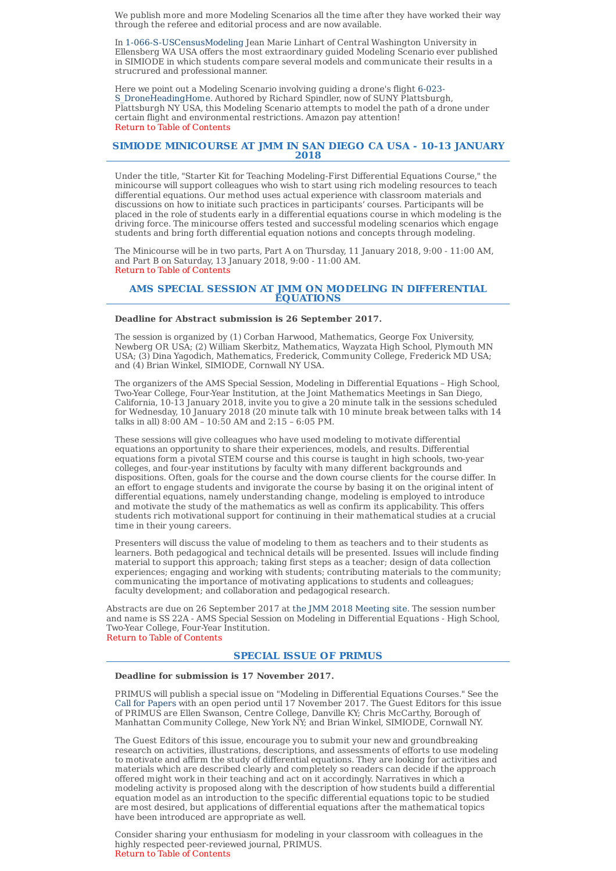We publish more and more Modeling Scenarios all the time after they have worked their way through the referee and editorial process and are now available.

In 1-066-S-USCensusModeling Jean Marie Linhart of Central Washington University in Ellensberg WA USA offers the most extraordinary guided Modeling Scenario ever published in SIMIODE in which students compare several models and communicate their results in a strucrured and professional manner.

Here we point out a Modeling Scenario involving guiding a drone's flight 6-023- S DroneHeadingHome. Authored by Richard Spindler, now of SUNY Plattsburgh, Plattsburgh NY USA, this Modeling Scenario attempts to model the path of a drone under certain flight and environmental restrictions. Amazon pay attention! Return to Table of Contents

## **SIMIODE MINICOURSE AT JMM IN SAN DIEGO CA USA - 10-13 JANUARY 2018**

Under the title, "Starter Kit for Teaching Modeling-First Differential Equations Course," the minicourse will support colleagues who wish to start using rich modeling resources to teach differential equations. Our method uses actual experience with classroom materials and discussions on how to initiate such practices in participants' courses. Participants will be placed in the role of students early in a differential equations course in which modeling is the driving force. The minicourse offers tested and successful modeling scenarios which engage students and bring forth differential equation notions and concepts through modeling.

The Minicourse will be in two parts, Part A on Thursday, 11 January 2018, 9:00 - 11:00 AM, and Part B on Saturday, 13 January 2018, 9:00 - 11:00 AM. Return to Table of Contents

## **AMS SPECIAL SESSION AT JMM ON MODELING IN DIFFERENTIAL EQUATIONS**

## **Deadline for Abstract submission is 26 September 2017.**

The session is organized by (1) Corban Harwood, Mathematics, George Fox University, Newberg OR USA; (2) William Skerbitz, Mathematics, Wayzata High School, Plymouth MN USA; (3) Dina Yagodich, Mathematics, Frederick, Community College, Frederick MD USA; and (4) Brian Winkel, SIMIODE, Cornwall NY USA.

The organizers of the AMS Special Session, Modeling in Differential Equations – High School, Two-Year College, Four-Year Institution, at the Joint Mathematics Meetings in San Diego, California, 10-13 January 2018, invite you to give a 20 minute talk in the sessions scheduled for Wednesday, 10 January 2018 (20 minute talk with 10 minute break between talks with 14 talks in all)  $8:00$  AM –  $10:50$  AM and  $2:15$  –  $6:05$  PM.

These sessions will give colleagues who have used modeling to motivate differential equations an opportunity to share their experiences, models, and results. Differential equations form a pivotal STEM course and this course is taught in high schools, two-year colleges, and four-year institutions by faculty with many different backgrounds and dispositions. Often, goals for the course and the down course clients for the course differ. In an effort to engage students and invigorate the course by basing it on the original intent of differential equations, namely understanding change, modeling is employed to introduce and motivate the study of the mathematics as well as confirm its applicability. This offers students rich motivational support for continuing in their mathematical studies at a crucial time in their young careers.

Presenters will discuss the value of modeling to them as teachers and to their students as learners. Both pedagogical and technical details will be presented. Issues will include finding material to support this approach; taking first steps as a teacher; design of data collection experiences; engaging and working with students; contributing materials to the community; communicating the importance of motivating applications to students and colleagues; faculty development; and collaboration and pedagogical research.

Abstracts are due on 26 September 2017 at the JMM 2018 Meeting site. The session number and name is SS 22A - AMS Special Session on Modeling in Differential Equations - High School, Two-Year College, Four-Year Institution. Return to Table of Contents

## **SPECIAL ISSUE OF PRIMUS**

## **Deadline for submission is 17 November 2017.**

PRIMUS will publish a special issue on "Modeling in Differential Equations Courses." See the Call for Papers with an open period until 17 November 2017. The Guest Editors for this issue of PRIMUS are Ellen Swanson, Centre College, Danville KY; Chris McCarthy, Borough of Manhattan Community College, New York NY; and Brian Winkel, SIMIODE, Cornwall NY.

The Guest Editors of this issue, encourage you to submit your new and groundbreaking research on activities, illustrations, descriptions, and assessments of efforts to use modeling to motivate and affirm the study of differential equations. They are looking for activities and materials which are described clearly and completely so readers can decide if the approach offered might work in their teaching and act on it accordingly. Narratives in which a modeling activity is proposed along with the description of how students build a differential equation model as an introduction to the specific differential equations topic to be studied are most desired, but applications of differential equations after the mathematical topics have been introduced are appropriate as well.

Consider sharing your enthusiasm for modeling in your classroom with colleagues in the highly respected peer-reviewed journal, PRIMUS. Return to Table of Contents